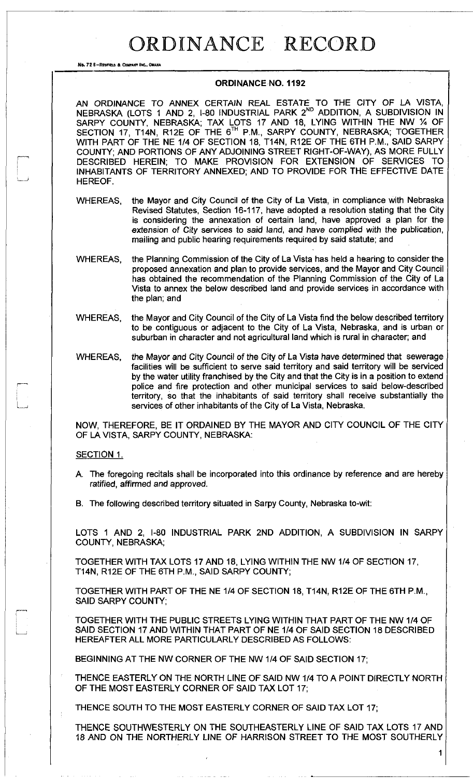## ORDINANCE RECORD

No. 72 8-RECFIELD & COMPANY INC., OMAHA

i—1

## **ORDINANCE NO. 1192**

AN ORDINANCE TO ANNEX CERTAIN REAL ESTATE TO THE CITY OF LA VISTA, NEBRASKA (LOTS 1 AND 2, I-80 INDUSTRIAL PARK 2<sup>nd</sup> ADDITION, A SUBDIVISION IN SARPY COUNTY, NEBRASKA; TAX LOTS 17 AND 18, LYING WITHIN THE NW % OF SECTION 17, T14N, R12E OF THE 6™ P.M., SARPY COUNTY, NEBRASKA; TOGETHER WITH PART OF THE NE 1/4 OF SECTION 18, T14N, R12E OF THE 6TH P.M., SAID SARPY COUNTY; AND PORTIONS OF ANY ADJOINING STREET RIGHT-OF-WAY), AS MORE FULLY DESCRIBED HEREIN; TO MAKE PROVISION FOR EXTENSION OF SERVICES TO INHABITANTS OF TERRITORY ANNEXED; AND TO PROVIDE FOR THE EFFECTIVE DATE HEREOF.

WHEREAS, the Mayor and City Council of the City of La Vista, in compliance with Nebraska Revised Statutes, Section 16-117, have adopted a resolution stating that the City is considering the annexation of certain land, have approved a plan for the extension of City services to *said* land, and have complied with the publication, mailing and public hearing requirements required by said statute; and

- WHEREAS, the Planning Commission of the City of La Vista has held a hearing to consider the proposed annexation and plan to provide services, and the Mayor and City Council has obtained the recommendation of the Planning Commission of the City of La Vista to annex the below described land and provide services in accordance with the plan; and
- WHEREAS, the Mayor and City Council of the City of La Vista find the below described territory to be contiguous or adjacent to the City of La Vista, Nebraska, and is urban or suburban in character and not agricultural land which is rural in character; and
- WHEREAS, the Mayor and City Council of the City of La Vista have determined that sewerage facilities will be sufficient to serve said territory and said territory will be serviced by the water utility franchised by the City and that the City is in a position to extend police and fire protection and other municipal services to said below-described territory, so that the inhabitants of said territory shall receive substantially the services of other inhabitants of the City of La Vista, Nebraska.

NOW, THEREFORE, BE IT ORDAINED BY THE MAYOR AND CITY COUNCIL OF THE CITY OF LA VISTA, SARPY COUNTY, NEBRASKA:

## SECTION 1.

 $\frac{1}{2}$ 

- A. The foregoing recitals shall be incorporated into this ordinance by reference and are hereby *ratified,* affirmed *and* approved.
- B. The following described territory situated in Sarpy County, Nebraska to-wit:

LOTS 1 AND 2, I-80 INDUSTRIAL PARK 2ND ADDITION, A SUBDIVISION IN SARPY COUNTY, NEBRASKA;

TOGETHER WITH TAX LOTS 17 AND 18, LYING WITHIN THE NW 1/4 OF SECTION 17, T14N, R12E OF THE 6TH P.M., SAID SARPY COUNTY;

TOGETHER WITH PART OF THE NE 1/4 OF SECTION 18, T14N, R12E OF THE 6TH P.M., SAID SARPY COUNTY;

TOGETHER WITH THE PUBLIC STREETS LYING WITHIN THAT PART OF THE NW 1/4 OF SAID SECTION 17 AND WITHIN THAT PART OF NE 1/4 OF SAID SECTION 18 DESCRIBED HEREAFTER ALL MORE PARTICULARLY DESCRIBED AS FOLLOWS:

BEGINNING AT THE NW CORNER OF THE NW 1/4 OF SAID SECTION 17;

THENCE EASTERLY ON THE NORTH LINE OF SAID NW 1/4 TO A POINT DIRECTLY NORTH OF THE MOST EASTERLY CORNER OF SAID TAX LOT 17;

THENCE SOUTH TO THE MOST EASTERLY CORNER OF SAID TAX LOT 17;

THENCE SOUTHWESTERLY ON THE SOUTHEASTERLY LINE OF SAID TAX LOTS 17 AND 18 AND ON THE NORTHERLY LINE OF HARRISON STREET TO THE MOST SOUTHERLY

1